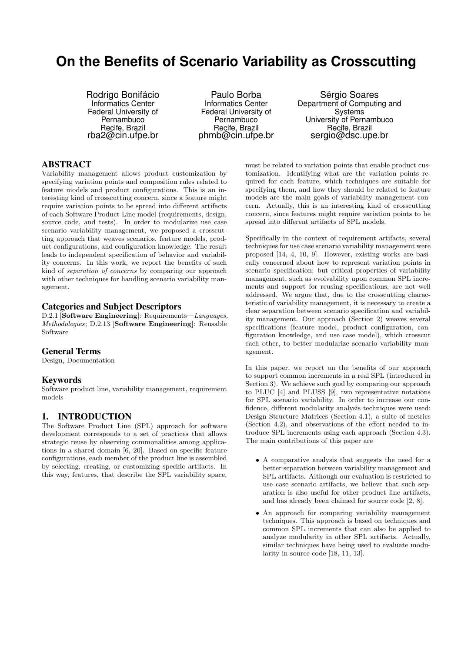# **On the Benefits of Scenario Variability as Crosscutting**

Rodrigo Bonifácio Informatics Center Federal University of Pernambuco Recife, Brazil rba2@cin.ufpe.br

Paulo Borba Informatics Center Federal University of Pernambuco Recife, Brazil phmb@cin.ufpe.br

Sérgio Soares Department of Computing and Systems University of Pernambuco Recife, Brazil sergio@dsc.upe.br

# ABSTRACT

Variability management allows product customization by specifying variation points and composition rules related to feature models and product configurations. This is an interesting kind of crosscutting concern, since a feature might require variation points to be spread into different artifacts of each Software Product Line model (requirements, design, source code, and tests). In order to modularize use case scenario variability management, we proposed a crosscutting approach that weaves scenarios, feature models, product configurations, and configuration knowledge. The result leads to independent specification of behavior and variability concerns. In this work, we report the benefits of such kind of separation of concerns by comparing our approach with other techniques for handling scenario variability management.

# Categories and Subject Descriptors

D.2.1 [Software Engineering]: Requirements—Languages, Methodologies; D.2.13 [Software Engineering]: Reusable Software

# General Terms

Design, Documentation

# Keywords

Software product line, variability management, requirement models

# 1. INTRODUCTION

The Software Product Line (SPL) approach for software development corresponds to a set of practices that allows strategic reuse by observing commonalities among applications in a shared domain [6, 20]. Based on specific feature configurations, each member of the product line is assembled by selecting, creating, or customizing specific artifacts. In this way, features, that describe the SPL variability space,

must be related to variation points that enable product customization. Identifying what are the variation points required for each feature, which techniques are suitable for specifying them, and how they should be related to feature models are the main goals of variability management concern. Actually, this is an interesting kind of crosscutting concern, since features might require variation points to be spread into different artifacts of SPL models.

Specifically in the context of requirement artifacts, several techniques for use case scenario variability management were proposed [14, 4, 10, 9]. However, existing works are basically concerned about how to represent variation points in scenario specification; but critical properties of variability management, such as evolvability upon common SPL increments and support for reusing specifications, are not well addressed. We argue that, due to the crosscutting characteristic of variability management, it is necessary to create a clear separation between scenario specification and variability management. Our approach (Section 2) weaves several specifications (feature model, product configuration, configuration knowledge, and use case model), which crosscut each other, to better modularize scenario variability management.

In this paper, we report on the benefits of our approach to support common increments in a real SPL (introduced in Section 3). We achieve such goal by comparing our approach to PLUC [4] and PLUSS [9], two representative notations for SPL scenario variability. In order to increase our confidence, different modularity analysis techniques were used: Design Structure Matrices (Section 4.1), a suite of metrics (Section 4.2), and observations of the effort needed to introduce SPL increments using each approach (Section 4.3). The main contributions of this paper are

- A comparative analysis that suggests the need for a better separation between variability management and SPL artifacts. Although our evaluation is restricted to use case scenario artifacts, we believe that such separation is also useful for other product line artifacts, and has already been claimed for source code [2, 8].
- An approach for comparing variability management techniques. This approach is based on techniques and common SPL increments that can also be applied to analyze modularity in other SPL artifacts. Actually, similar techniques have being used to evaluate modularity in source code [18, 11, 13].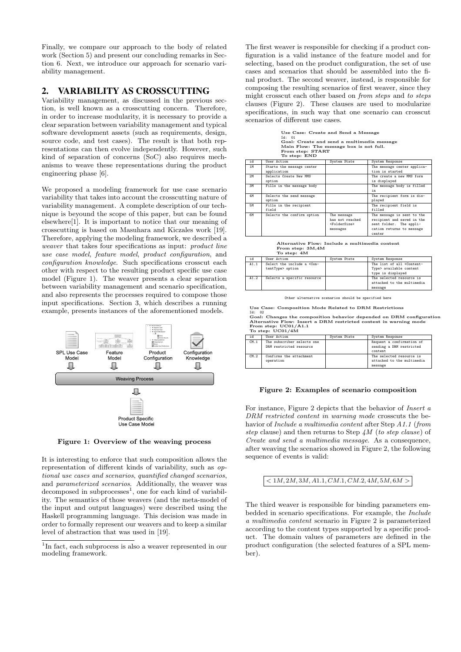Finally, we compare our approach to the body of related work (Section 5) and present our concluding remarks in Section 6. Next, we introduce our approach for scenario variability management.

# 2. VARIABILITY AS CROSSCUTTING

Variability management, as discussed in the previous section, is well known as a crosscutting concern. Therefore, in order to increase modularity, it is necessary to provide a clear separation between variability management and typical software development assets (such as requirements, design, source code, and test cases). The result is that both representations can then evolve independently. However, such kind of separation of concerns (SoC) also requires mechanisms to weave these representations during the product engineering phase [6].

We proposed a modeling framework for use case scenario variability that takes into account the crosscutting nature of variability management. A complete description of our technique is beyound the scope of this paper, but can be found elsewhere[1]. It is important to notice that our meaning of crosscutting is based on Masuhara and Kiczales work [19]. Therefore, applying the modeling framework, we described a weaver that takes four specifications as input: product line use case model, feature model, product configuration, and configuration knowledge. Such specifications crosscut each other with respect to the resulting product specific use case model (Figure 1). The weaver presents a clear separation between variability management and scenario specification, and also represents the processes required to compose those input specifications. Section 3, which describes a running example, presents instances of the aforementioned models.



Figure 1: Overview of the weaving process

It is interesting to enforce that such composition allows the representation of different kinds of variability, such as optional use cases and scenarios, quantified changed scenarios, and parameterized scenarios. Additionally, the weaver was  $decomposed$  in subprocesses<sup>1</sup>, one for each kind of variability. The semantics of those weavers (and the meta-model of the input and output languages) were described using the Haskell programming language. This decision was made in order to formally represent our weavers and to keep a similar level of abstraction that was used in [19].

The first weaver is responsible for checking if a product configuration is a valid instance of the feature model and for selecting, based on the product configuration, the set of use cases and scenarios that should be assembled into the final product. The second weaver, instead, is responsible for composing the resulting scenarios of first weaver, since they might crosscut each other based on from steps and to steps clauses (Figure 2). These clauses are used to modularize specifications, in such way that one scenario can crosscut scenarios of different use cases.

Use Case: Create and Send a Message Id: 01 Goal: Create and send a multimedia message Main Flow: The message box is not full. From step: START To step: END

| id | User Action                | System State              | System Response             |
|----|----------------------------|---------------------------|-----------------------------|
| 1M | Starts the message center  |                           | The message center applica- |
|    | application                |                           | tion is started             |
| 2M | Selects Create New MMS     |                           | The create a new MMS form   |
|    | option                     |                           | is displayed                |
| 3M | Fills in the message body  |                           | The message body is filled  |
|    |                            |                           | in                          |
| 4M | Selects the send message   |                           | The recipient form is dis-  |
|    | option                     |                           | played                      |
| 5M | Fills in the recipient     |                           | The recipient field is      |
|    | field                      |                           | filled                      |
| 6M | Selects the confirm option | The message               | The message is sent to the  |
|    |                            | has not reached           | recipient and saved in the  |
|    |                            | <foldersize></foldersize> | sent folder. The appli-     |
|    |                            | messages                  | cation returns to message   |
|    |                            |                           | center                      |

Alternative Flow: Include a multimedia content From step: 3M,4M To step: 4M

| i d  | User Action                                                                                               | System State | System Response                               |
|------|-----------------------------------------------------------------------------------------------------------|--------------|-----------------------------------------------|
| A1.1 | Select the include a <con-< td=""><td></td><td>The list of all <content-< td=""></content-<></td></con-<> |              | The list of all <content-< td=""></content-<> |
|      | tentType> option                                                                                          |              | Type> available content                       |
|      |                                                                                                           |              | type is displayed                             |
| A1.2 | Selects a specific resource                                                                               |              | The selected resource is                      |
|      |                                                                                                           |              | attached to the multimedia                    |
|      |                                                                                                           |              | message                                       |

Other alternative scenarios should be specified here

Use Case: Composition Mode Related to DRM Restrictions

Id: 02 Goal: Changes the composition behavior depended on DRM configuration Alternative Flow: Insert a DRM restricted content in warning mode From step: UC01/A1.1 To step: UC01/4M

| id   | User Action                | System State | System Response            |
|------|----------------------------|--------------|----------------------------|
| CM.1 | The subscriber selects one |              | Request a confirmation of  |
|      | DRM restricted resource    |              | sending a DRM restricted   |
|      |                            |              | content.                   |
| CM.2 | Confirms the attachment    |              | The selected resource is   |
|      | operation                  |              | attached to the multimedia |
|      |                            |              | message                    |

#### Figure 2: Examples of scenario composition

For instance, Figure 2 depicts that the behavior of Insert a DRM restricted content in warning mode crosscuts the behavior of Include a multimedia content after Step A1.1 (from step clause) and then returns to Step  $4M$  (to step clause) of Create and send a multimedia message. As a consequence, after weaving the scenarios showed in Figure 2, the following sequence of events is valid:

### $< 1M, 2M, 3M, A1.1, CM.1, CM.2, 4M, 5M, 6M >$

The third weaver is responsible for binding parameters embedded in scenario specifications. For example, the Include a multimedia content scenario in Figure 2 is parameterized according to the content types supported by a specific product. The domain values of parameters are defined in the product configuration (the selected features of a SPL member).

<sup>&</sup>lt;sup>1</sup>In fact, each subprocess is also a weaver represented in our modeling framework.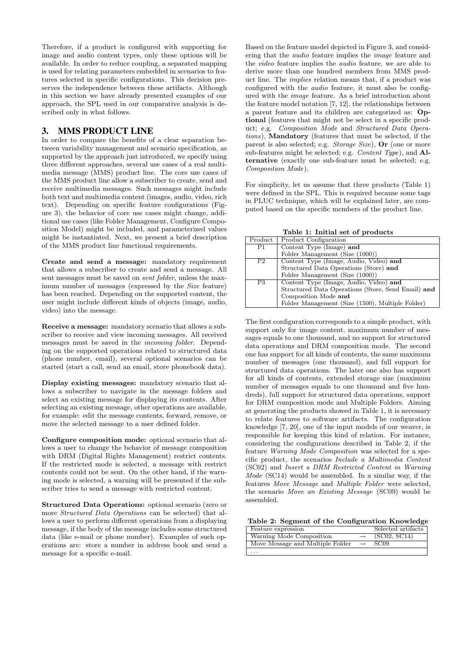Therefore, if a product is configured with supporting for image and audio content types, only these options will be available. In order to reduce coupling, a separated mapping is used for relating parameters embedded in scenarios to features selected in specific configurations. This decision preserves the independence between these artifacts. Although in this section we have already presented examples of our approach, the SPL used in our comparative analysis is described only in what follows.

# 3. MMS PRODUCT LINE

In order to compare the benefits of a clear separation between variability management and scenario specification, as supported by the approach just introduced, we specify using three different approaches, several use cases of a real multimedia message (MMS) product line. The core use cases of the MMS product line allow a subscriber to create, send and receive multimedia messages. Such messages might include both text and multimedia content (images, audio, video, rich text). Depending on specific feature configurations (Figure 3), the behavior of core use cases might change, additional use cases (like Folder Management, Configure Composition Model) might be included, and parameterized values might be instantiated. Next, we present a brief description of the MMS product line functional requirements.

Create and send a message: mandatory requirement that allows a subscriber to create and send a message. All sent messages must be saved on *sent folder*, unless the maximum number of messages (expressed by the Size feature) has been reached. Depending on the supported content, the user might include different kinds of objects (image, audio, video) into the message.

Receive a message: mandatory scenario that allows a subscriber to receive and view incoming messages. All received messages must be saved in the incoming folder. Depending on the supported operations related to structured data (phone number, email), several optional scenarios can be started (start a call, send an email, store phonebook data).

Display existing messages: mandatory scenario that allows a subscriber to navigate in the message folders and select an existing message for displaying its contents. After selecting an existing message, other operations are available, for example: edit the message contents, forward, remove, or move the selected message to a user defined folder.

Configure composition mode: optional scenario that allows a user to change the behavior of message composition with DRM (Digital Rights Management) restrict contents. If the restricted mode is selected, a message with restrict contents could not be sent. On the other hand, if the warning mode is selected, a warning will be presented if the subscriber tries to send a message with restricted content.

Structured Data Operations: optional scenario (zero or more Structured Data Operations can be selected) that allows a user to perform different operations from a displaying message, if the body of the message includes some structured data (like e-mail or phone number). Examples of such operations are: store a number in address book and send a message for a specific e-mail.

Based on the feature model depicted in Figure 3, and considering that the audio feature implies the image feature and the video feature implies the audio feature, we are able to derive more than one hundred members from MMS product line. The implies relation means that, if a product was configured with the audio feature, it must also be configured with the image feature. As a brief introduction about the feature model notation [7, 12], the relationships between a parent feature and its children are categorized as: Optional (features that might not be select in a specific product; e.g. Composition Mode and Structured Data Operations), Mandatory (features that must be selected, if the parent is also selected; e.g. *Storage Size*), **Or** (one or more sub-features might be selected; e.g. Content Type), and Alternative (exactly one sub-feature must be selected; e.g. Composition Mode).

For simplicity, let us assume that three products (Table 1) were defined in the SPL. This is required because some tags in PLUC technique, which will be explained later, are computed based on the specific members of the product line.

Table 1: Initial set of products

| Product        | Product Configuration                              |
|----------------|----------------------------------------------------|
| P1             | Content Type (Image) and                           |
|                | Folder Management (Size (1000))                    |
| P <sub>2</sub> | Content Type (Image, Audio, Video) and             |
|                | Structured Data Operations (Store) and             |
|                | Folder Management (Size (1000))                    |
| P3             | Content Type (Image, Audio, Video) and             |
|                | Structured Data Operations (Store, Send Email) and |
|                | Composition Mode and                               |
|                | Folder Management (Size (1500), Multiple Folder)   |

The first configuration corresponds to a simple product, with support only for image content, maximum number of messages equals to one thousand, and no support for structured data operations and DRM composition mode. The second one has support for all kinds of contents, the same maximum number of messages (one thousand), and full support for structured data operations. The later one also has support for all kinds of contents, extended storage size (maximum number of messages equals to one thousand and five hundreds), full support for structured data operations, support for DRM composition mode and Multiple Folders. Aiming at generating the products showed in Table 1, it is necessary to relate features to software artifacts. The configuration knowledge [7, 20], one of the input models of our weaver, is responsible for keeping this kind of relation. For instance, considering the configurations described in Table 2, if the feature Warning Mode Composition was selected for a specific product, the scenarios Include a Multimedia Content (SC02) and Insert a DRM Restricted Content in Warning Mode (SC14) would be assembled. In a similar way, if the features Move Message and Multiple Folder were selected, the scenario Move an Existing Message (SC09) would be assembled.

Table 2: Segment of the Configuration Knowledge

| Feature expression               |                   | Selected artifacts |
|----------------------------------|-------------------|--------------------|
| Warning Mode Composition         |                   | (SCO2, SC14)       |
| Move Message and Multiple Folder | $\longrightarrow$ | SC09               |
|                                  |                   |                    |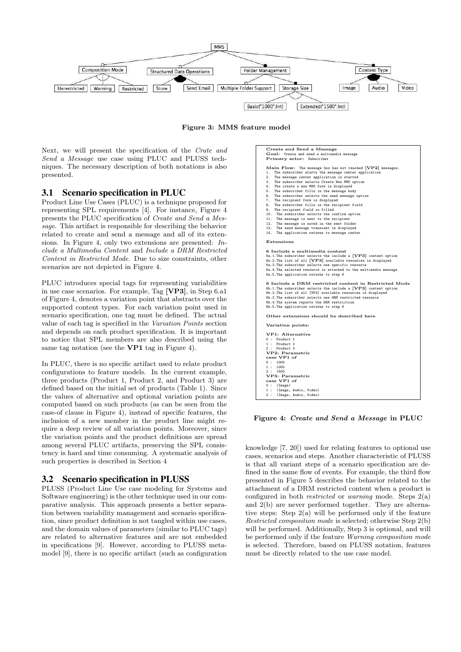

Figure 3: MMS feature model

Next, we will present the specification of the Crate and Send a Message use case using PLUC and PLUSS techniques. The necessary description of both notations is also presented.

### 3.1 Scenario specification in PLUC

Product Line Use Cases (PLUC) is a technique proposed for representing SPL requirements [4]. For instance, Figure 4 presents the PLUC specification of Create and Send a Message. This artifact is responsible for describing the behavior related to create and send a message and all of its extensions. In Figure 4, only two extensions are presented: Include a Multimedia Content and Include a DRM Restricted Content in Restricted Mode. Due to size constraints, other scenarios are not depicted in Figure 4.

PLUC introduces special tags for representing variabilities in use case scenarios. For example, Tag [VP3], in Step 6.a1 of Figure 4, denotes a variation point that abstracts over the supported content types. For each variation point used in scenario specification, one tag must be defined. The actual value of each tag is specified in the Variation Points section and depends on each product specification. It is important to notice that SPL members are also described using the same tag notation (see the VP1 tag in Figure 4).

In PLUC, there is no specific artifact used to relate product configurations to feature models. In the current example, three products (Product 1, Product 2, and Product 3) are defined based on the initial set of products (Table 1). Since the values of alternative and optional variation points are computed based on such products (as can be seen from the case-of clause in Figure 4), instead of specific features, the inclusion of a new member in the product line might require a deep review of all variation points. Moreover, since the variation points and the product definitions are spread among several PLUC artifacts, preserving the SPL consistency is hard and time consuming. A systematic analysis of such properties is described in Section 4

### 3.2 Scenario specification in PLUSS

PLUSS (Product Line Use case modeling for Systems and Software engineering) is the other technique used in our comparative analysis. This approach presents a better separation between variability management and scenario specification, since product definition is not tangled within use cases, and the domain values of parameters (similar to PLUC tags) are related to alternative features and are not embedded in specifications [9]. However, according to PLUSS metamodel [9], there is no specific artifact (such as configuration

| Create and Send a Message<br>Goal: Create and send a multimedia message<br>Primary actor: Subscriber                                                                                                                                                                                                                                                                                                                                                                                                                                                                                                                                                                                                                                                                  |
|-----------------------------------------------------------------------------------------------------------------------------------------------------------------------------------------------------------------------------------------------------------------------------------------------------------------------------------------------------------------------------------------------------------------------------------------------------------------------------------------------------------------------------------------------------------------------------------------------------------------------------------------------------------------------------------------------------------------------------------------------------------------------|
| Main Flow: The message box has not reached [VP2] messages.<br>The subscriber starts the message center application<br>1.<br>The message center application is started<br>2.<br>3. The subscriber selects Create New MMS option<br>4. The create a new MMS form is displayed<br>5. The subscriber fills in the message body<br>6. The subscriber selects the send message option<br>7. The recipient form is displayed<br>8. The subscriber fills in the recipient field<br>9. The recipient field is filled<br>10. The subscriber selects the confirm option<br>11. The message is sent to the recipient<br>12. The message is saved in the sent folder<br>13. The send message transient is displayed<br>14. The application returns to message center<br>Extensions |
| 6 Include a multimedia content<br>6a.1. The subscriber selects the include a [VP3] content option<br>6a.2. The list of all [VP3] available resources is displayed<br>6a.3. The subscriber selects one specific resource<br>6a.4.The selected resource is attached to the multimedia message<br>6a.5. The application returns to step 6                                                                                                                                                                                                                                                                                                                                                                                                                                |
| 6 Include a DRM restricted content in Restricted Mode<br>6b.1. The subscriber selects the include a [VP3] content option<br>6b.2. The list of all [VP3] available resources is displayed<br>6b.3. The subscriber selects one DRM restricted resource<br>6b.4. The system reports the DRM restriction<br>6b.5. The application returns to step 6                                                                                                                                                                                                                                                                                                                                                                                                                       |
| Other extensions should be described here                                                                                                                                                                                                                                                                                                                                                                                                                                                                                                                                                                                                                                                                                                                             |
| Variation points:<br>VP1: Alternative<br>0: Product 1<br>1 : Product 2<br>2 : Product 3<br>VP2: Parametric<br>case VP1 of<br>0:1000<br>1:1000<br>2:1500<br>VP3: Parametric<br>case VP1 of<br>$0$ : (Image)<br>1 : (Image, Audio, Video)                                                                                                                                                                                                                                                                                                                                                                                                                                                                                                                               |
| 2 : (Image, Audio, Video)                                                                                                                                                                                                                                                                                                                                                                                                                                                                                                                                                                                                                                                                                                                                             |

#### Figure 4: Create and Send a Message in PLUC

knowledge [7, 20]) used for relating features to optional use cases, scenarios and steps. Another characteristic of PLUSS is that all variant steps of a scenario specification are defined in the same flow of events. For example, the third flow presented in Figure 5 describes the behavior related to the attachment of a DRM restricted content when a product is configured in both *restricted* or *warning* mode. Steps  $2(a)$ and 2(b) are never performed together. They are alternative steps: Step 2(a) will be performed only if the feature Restricted composition mode is selected; otherwise Step 2(b) will be performed. Additionally, Step 3 is optional, and will be performed only if the feature Warning composition mode is selected. Therefore, based on PLUSS notation, features must be directly related to the use case model.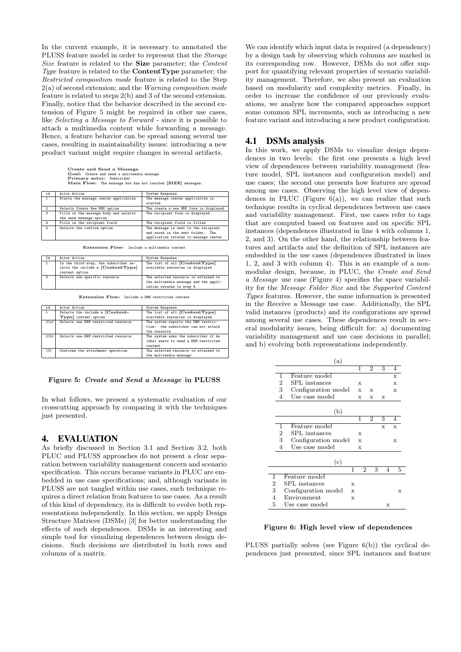In the current example, it is necessary to annotated the PLUSS feature model in order to represent that the Storage Size feature is related to the Size parameter; the Content Type feature is related to the **ContentType** parameter; the Restricted composition mode feature is related to the Step 2(a) of second extension; and the Warning composition mode feature is related to steps 2(b) and 3 of the second extension. Finally, notice that the behavior described in the second extension of Figure 5 might be required in other use cases, like Selecting a Message to Forward - since it is possible to attach a multimedia content while forwarding a message. Hence, a feature behavior can be spread among several use cases, resulting in maintainability issues: introducing a new product variant might require changes in several artifacts.

Create and Send a Message Goal: Create and send a multimedia message Primary actor: Subscriber Main Flow: The message box has not reached [SIZE] messages.

| id             | Actor Action                          | System Response                        |  |  |  |
|----------------|---------------------------------------|----------------------------------------|--|--|--|
| $\mathbf{1}$   | Starts the message center application | The message center application is      |  |  |  |
|                |                                       | started                                |  |  |  |
| $\mathcal{L}$  | Selects Create New MMS option         | The create a new MMS form is displayed |  |  |  |
| $\mathbf{3}$   | Fills in the message body and selects | The recipient form is displayed        |  |  |  |
|                | the send message option               |                                        |  |  |  |
| $\overline{a}$ | Fills in the recipient field          | The recipient field is filled          |  |  |  |
| 5              | Selects the confirm option            | The message is sent to the recipient   |  |  |  |
|                |                                       | and saved in the sent folder. The      |  |  |  |
|                |                                       | application returns to message center  |  |  |  |

Extension Flow: Include a multimedia content

| Id           | Actor Action                                                                                   | System Response                                                                                           |
|--------------|------------------------------------------------------------------------------------------------|-----------------------------------------------------------------------------------------------------------|
| $\mathbf{1}$ | In the third step, the subscriber se-<br>lects the include a $[ContentType]$<br>content option | The list of all [ContentType]<br>available resources is displayed                                         |
|              | Selects one specific resource                                                                  | The selected resource is attached to<br>the multimedia message and the appli-<br>cation returns to step 6 |
|              |                                                                                                |                                                                                                           |

Extension Flow: Include a DRM restricted content

| id   | Actor Action                        | System Response                      |
|------|-------------------------------------|--------------------------------------|
|      | Selects the include a [Content-     | The list of all [ContentType]        |
|      | Type] content option                | available resources is displayed     |
| 2(a) | Selects one DRM restricted resource | The system reports the DRM restric-  |
|      |                                     | tion: the subscriber can not attach  |
|      |                                     | the resource                         |
| 2(b) | Selects one DRM restricted resource | The system asks the subscriber if he |
|      |                                     | (she) wants to send a DRM restricted |
|      |                                     | content.                             |
| (3)  | Confirms the attachment operation   | The selected resource is attached to |
|      |                                     | the multimedia message               |

#### Figure 5: Create and Send a Message in PLUSS

In what follows, we present a systematic evaluation of our crosscutting approach by comparing it with the techniques just presented.

#### 4. EVALUATION

As briefly discussed in Section 3.1 and Section 3.2, both PLUC and PLUSS approaches do not present a clear separation between variability management concern and scenario specification. This occurs because variants in PLUC are embedded in use case specifications; and, although variants in PLUSS are not tangled within use cases, such technique requires a direct relation from features to use cases. As a result of this kind of dependency, its is difficult to evolve both representations independently. In this section, we apply Design Structure Matrices (DSMs) [3] for better understanding the effects of such dependences. DSMs is an interesting and simple tool for visualizing dependences between design decisions. Such decisions are distributed in both rows and columns of a matrix.

We can identify which input data is required (a dependency) by a design task by observing which columns are marked in its corresponding row. However, DSMs do not offer support for quantifying relevant properties of scenario variability management. Therefore, we also present an evaluation based on modularity and complexity metrics. Finally, in order to increase the confidence of our previously evaluations, we analyze how the compared approaches support some common SPL increments, such as introducing a new feature variant and introducing a new product configuration.

### 4.1 DSMs analysis

In this work, we apply DSMs to visualize design dependences in two levels: the first one presents a high level view of dependences between variability management (feature model, SPL instances and configuration model) and use cases; the second one presents how features are spread among use cases. Observing the high level view of dependences in PLUC (Figure  $6(a)$ ), we can realize that such technique results in cyclical dependences between use cases and variability management. First, use cases refer to tags that are computed based on features and on specific SPL instances (dependences illustrated in line 4 with columns 1, 2, and 3). On the other hand, the relationship between features and artifacts and the definition of SPL instances are embedded in the use cases (dependences illustrated in lines 1, 2, and 3 with column 4). This is an example of a nonmodular design, because, in PLUC, the Create and Send a Message use case (Figure 4) specifies the space variability for the Message Folder Size and the Supported Content Types features. However, the same information is presented in the Receive a Message use case. Additionally, the SPL valid instances (products) and its configurations are spread among several use cases. These dependences result in several modularity issues, being difficult for: a) documenting variability management and use case decisions in parallel; and b) evolving both representations independently.

|                |                | (a)                 |             |                |                |              |              |
|----------------|----------------|---------------------|-------------|----------------|----------------|--------------|--------------|
|                |                |                     |             | 1              | $\overline{2}$ | 3            | 4            |
|                | 1              | Feature model       |             |                |                |              | $\mathbf x$  |
|                | 2              | SPL instances       |             | X              |                |              | $\mathbf x$  |
|                | 3              | Configuration model |             | $\mathbf x$    | X              |              | $\mathbf x$  |
|                | 4              | Use case model      |             | X              | х              | X            |              |
|                |                |                     |             |                |                |              |              |
|                |                | (b)                 |             |                |                |              |              |
|                |                |                     |             | 1              | $\overline{2}$ | 3            | 4            |
|                | 1              | Feature model       |             |                |                | $\mathbf{x}$ | $\mathbf{x}$ |
|                | $\overline{2}$ | SPL instances       |             | $\mathbf{x}$   |                |              |              |
|                | 3              | Configuration model |             | X              |                |              | X            |
|                | 4              | Use case model      |             | X              |                |              |              |
|                |                |                     |             |                |                |              |              |
|                |                | (c)                 |             |                |                |              |              |
|                |                |                     | 1           | $\overline{2}$ | 3              | 4            | 5            |
| 1              |                | Feature model       |             |                |                |              |              |
| $\overline{2}$ |                | SPL instances       | X           |                |                |              |              |
| 3              |                | Configuration model | $\mathbf x$ |                |                |              | X            |
| 4              |                | Environment         | $\mathbf x$ |                |                |              |              |
| 5              |                | Use case model      |             |                |                | X            |              |

#### Figure 6: High level view of dependences

PLUSS partially solves (see Figure 6(b)) the cyclical dependences just presented, since SPL instances and feature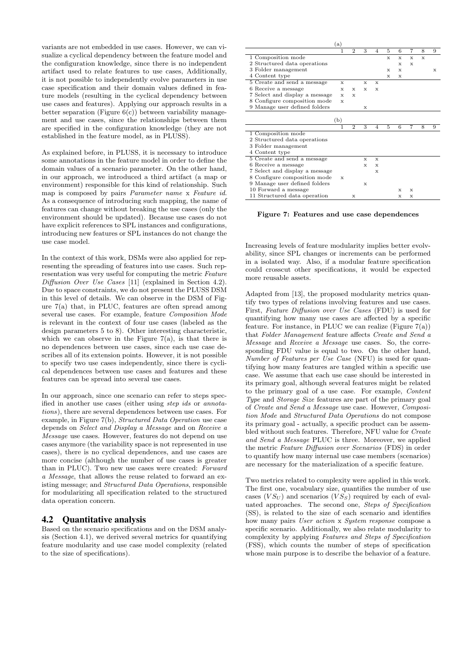variants are not embedded in use cases. However, we can visualize a cyclical dependency between the feature model and the configuration knowledge, since there is no independent artifact used to relate features to use cases, Additionally, it is not possible to independently evolve parameters in use case specification and their domain values defined in feature models (resulting in the cyclical dependency between use cases and features). Applying our approach results in a better separation (Figure  $6(c)$ ) between variability management and use cases, since the relationships between them are specified in the configuration knowledge (they are not established in the feature model, as in PLUSS).

As explained before, in PLUSS, it is necessary to introduce some annotations in the feature model in order to define the domain values of a scenario parameter. On the other hand, in our approach, we introduced a third artifact (a map or environment) responsible for this kind of relationship. Such map is composed by pairs Parameter name x Feature id. As a consequence of introducing such mapping, the name of features can change without breaking the use cases (only the environment should be updated). Because use cases do not have explicit references to SPL instances and configurations, introducing new features or SPL instances do not change the use case model.

In the context of this work, DSMs were also applied for representing the spreading of features into use cases. Such representation was very useful for computing the metric Feature Diffusion Over Use Cases [11] (explained in Section 4.2). Due to space constraints, we do not present the PLUSS DSM in this level of details. We can observe in the DSM of Figure 7(a) that, in PLUC, features are often spread among several use cases. For example, feature Composition Mode is relevant in the context of four use cases (labeled as the design parameters 5 to 8). Other interesting characteristic, which we can observe in the Figure  $7(a)$ , is that there is no dependences between use cases, since each use case describes all of its extension points. However, it is not possible to specify two use cases independently, since there is cyclical dependences between use cases and features and these features can be spread into several use cases.

In our approach, since one scenario can refer to steps specified in another use cases (either using step ids or annotations), there are several dependences between use cases. For example, in Figure 7(b), Structured Data Operation use case depends on Select and Display a Message and on Receive a Message use cases. However, features do not depend on use cases anymore (the variability space is not represented in use cases), there is no cyclical dependences, and use cases are more concise (although the number of use cases is greater than in PLUC). Two new use cases were created: Forward a Message, that allows the reuse related to forward an existing message; and Structured Data Operations, responsible for modularizing all specification related to the structured data operation concern.

# 4.2 Quantitative analysis

Based on the scenario specifications and on the DSM analysis (Section 4.1), we derived several metrics for quantifying feature modularity and use case model complexity (related to the size of specifications).

|                                | (a) |                |             |                |   |   |             |   |   |
|--------------------------------|-----|----------------|-------------|----------------|---|---|-------------|---|---|
|                                | 1   | $\overline{2}$ | 3           | 4              | 5 | 6 | 7           | 8 | 9 |
| 1 Composition mode             |     |                |             |                | x | x | $\mathbf x$ | x |   |
| 2 Structured data operations   |     |                |             |                |   | х | х           |   |   |
| 3 Folder management            |     |                |             |                | x | х |             |   | х |
| 4 Content type                 |     |                |             |                | x | x |             |   |   |
| 5 Create and send a message    | x   |                | x           | $\mathbf{x}$   |   |   |             |   |   |
| 6 Receive a message            | х   | x              | x           | x              |   |   |             |   |   |
| 7 Select and display a message | x   | $\mathbf{x}$   |             |                |   |   |             |   |   |
| 8 Configure composition mode   | x   |                |             |                |   |   |             |   |   |
| 9 Manage user defined folders  |     |                | х           |                |   |   |             |   |   |
|                                | (b) |                |             |                |   |   |             |   |   |
|                                |     | $\overline{2}$ | 3           | $\overline{4}$ | 5 | 6 | 7           | 8 | 9 |
| 1 Composition mode             |     |                |             |                |   |   |             |   |   |
| 2 Structured data operations   |     |                |             |                |   |   |             |   |   |
| 3 Folder management            |     |                |             |                |   |   |             |   |   |
| 4 Content type                 |     |                |             |                |   |   |             |   |   |
| 5 Create and send a message    |     |                | $\mathbf x$ | $\mathbf x$    |   |   |             |   |   |
| 6 Receive a message            |     |                | x           | x              |   |   |             |   |   |
| 7 Select and display a message |     |                |             | x              |   |   |             |   |   |
| 8 Configure composition mode   | x   |                |             |                |   |   |             |   |   |
| 9 Manage user defined folders  |     |                | X           |                |   |   |             |   |   |
| 10 Forward a message           |     |                |             |                |   | X | x           |   |   |
| 11 Structured data operation   |     | х              |             |                |   | x | x           |   |   |

Figure 7: Features and use case dependences

Increasing levels of feature modularity implies better evolvability, since SPL changes or increments can be performed in a isolated way. Also, if a modular feature specification could crosscut other specifications, it would be expected more reusable assets.

Adapted from [13], the proposed modularity metrics quantify two types of relations involving features and use cases. First, Feature Diffusion over Use Cases (FDU) is used for quantifying how many use cases are affected by a specific feature. For instance, in PLUC we can realize (Figure  $7(a)$ ) that Folder Management feature affects Create and Send a Message and Receive a Message use cases. So, the corresponding FDU value is equal to two. On the other hand, Number of Features per Use Case (NFU) is used for quantifying how many features are tangled within a specific use case. We assume that each use case should be interested in its primary goal, although several features might be related to the primary goal of a use case. For example, Content Type and Storage Size features are part of the primary goal of Create and Send a Message use case. However, Composition Mode and Structured Data Operations do not compose its primary goal - actually, a specific product can be assembled without such features. Therefore, NFU value for Create and Send a Message PLUC is three. Moreover, we applied the metric Feature Diffusion over Scenarios (FDS) in order to quantify how many internal use case members (scenarios) are necessary for the materialization of a specific feature.

Two metrics related to complexity were applied in this work. The first one, vocabulary size, quantifies the number of use cases  $(V S_U)$  and scenarios  $(V S_S)$  required by each of evaluated approaches. The second one, Steps of Specification (SS), is related to the size of each scenario and identifies how many pairs User action x System response compose a specific scenario. Additionally, we also relate modularity to complexity by applying Features and Steps of Specification (FSS), which counts the number of steps of specification whose main purpose is to describe the behavior of a feature.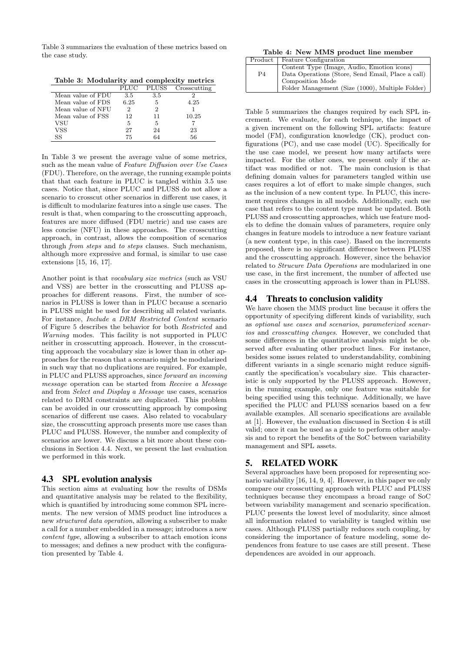Table 3 summarizes the evaluation of these metrics based on the case study.

Table 3: Modularity and complexity metrics

|                   | PLUC | <b>PLUSS</b> | Crosscutting |
|-------------------|------|--------------|--------------|
| Mean value of FDU | 3.5  | 3.5          |              |
| Mean value of FDS | 6.25 | 5            | 4.25         |
| Mean value of NFU |      |              |              |
| Mean value of FSS | 12   | 11           | 10.25        |
| VSU               | 5    |              |              |
| VSS               | 27   | 24           | 23           |
| SS                | 75   |              | 56           |

In Table 3 we present the average value of some metrics, such as the mean value of Feature Diffusion over Use Cases (FDU). Therefore, on the average, the running example points that that each feature in PLUC is tangled within 3.5 use cases. Notice that, since PLUC and PLUSS do not allow a scenario to crosscut other scenarios in different use cases, it is difficult to modularize features into a single use cases. The result is that, when comparing to the crosscutting approach, features are more diffused (FDU metric) and use cases are less concise (NFU) in these approaches. The crosscutting approach, in contrast, allows the composition of scenarios through from steps and to steps clauses. Such mechanism, although more expressive and formal, is similar to use case extensions [15, 16, 17].

Another point is that vocabulary size metrics (such as VSU and VSS) are better in the crosscutting and PLUSS approaches for different reasons. First, the number of scenarios in PLUSS is lower than in PLUC because a scenario in PLUSS might be used for describing all related variants. For instance, Include a DRM Restricted Content scenario of Figure 5 describes the behavior for both Restricted and Warning modes. This facility is not supported in PLUC neither in crosscutting approach. However, in the crosscutting approach the vocabulary size is lower than in other approaches for the reason that a scenario might be modularized in such way that no duplications are required. For example, in PLUC and PLUSS approaches, since forward an incoming message operation can be started from Receive a Message and from Select and Display a Message use cases, scenarios related to DRM constraints are duplicated. This problem can be avoided in our crosscutting approach by composing scenarios of different use cases. Also related to vocabulary size, the crosscutting approach presents more use cases than PLUC and PLUSS. However, the number and complexity of scenarios are lower. We discuss a bit more about these conclusions in Section 4.4. Next, we present the last evaluation we performed in this work.

# 4.3 SPL evolution analysis

This section aims at evaluating how the results of DSMs and quantitative analysis may be related to the flexibility, which is quantified by introducing some common SPL increments. The new version of MMS product line introduces a new structured data operation, allowing a subscriber to make a call for a number embedded in a message; introduces a new content type, allowing a subscriber to attach emotion icons to messages; and defines a new product with the configuration presented by Table 4.

Table 4: New MMS product line member

| Product        | Feature Configuration                             |
|----------------|---------------------------------------------------|
|                | Content Type (Image, Audio, Emotion icons)        |
| P <sub>4</sub> | Data Operations (Store, Send Email, Place a call) |
|                | Composition Mode                                  |
|                | Folder Management (Size (1000), Multiple Folder)  |

Table 5 summarizes the changes required by each SPL increment. We evaluate, for each technique, the impact of a given increment on the following SPL artifacts: feature model (FM), configuration knowledge (CK), product configurations (PC), and use case model (UC). Specifically for the use case model, we present how many artifacts were impacted. For the other ones, we present only if the artifact was modified or not. The main conclusion is that defining domain values for parameters tangled within use cases requires a lot of effort to make simple changes, such as the inclusion of a new content type. In PLUC, this increment requires changes in all models. Additionally, each use case that refers to the content type must be updated. Both PLUSS and crosscutting approaches, which use feature models to define the domain values of parameters, require only changes in feature models to introduce a new feature variant (a new content type, in this case). Based on the increments proposed, there is no significant difference between PLUSS and the crosscutting approach. However, since the behavior related to Strucure Data Operations are modularized in one use case, in the first increment, the number of affected use cases in the crosscutting approach is lower than in PLUSS.

# 4.4 Threats to conclusion validity

We have chosen the MMS product line because it offers the opportunity of specifying different kinds of variability, such as optional use cases and scenarios, parameterized scenarios and crosscutting changes. However, we concluded that some differences in the quantitative analysis might be observed after evaluating other product lines. For instance, besides some issues related to understandability, combining different variants in a single scenario might reduce significantly the specification's vocabulary size. This characteristic is only supported by the PLUSS approach. However, in the running example, only one feature was suitable for being specified using this technique. Additionally, we have specified the PLUC and PLUSS scenarios based on a few available examples. All scenario specifications are available at [1]. However, the evaluation discussed in Section 4 is still valid; once it can be used as a guide to perform other analysis and to report the benefits of the SoC between variability management and SPL assets.

# 5. RELATED WORK

Several approaches have been proposed for representing scenario variability [16, 14, 9, 4]. However, in this paper we only compare our crosscutting approach with PLUC and PLUSS techniques because they encompass a broad range of SoC between variability management and scenario specification. PLUC presents the lowest level of modularity, since almost all information related to variability is tangled within use cases. Although PLUSS partially reduces such coupling, by considering the importance of feature modeling, some dependences from feature to use cases are still present. These dependences are avoided in our approach.